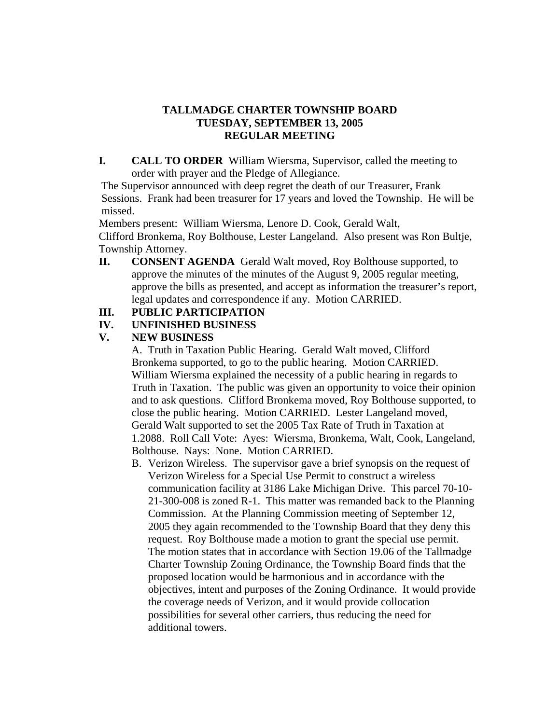### **TALLMADGE CHARTER TOWNSHIP BOARD TUESDAY, SEPTEMBER 13, 2005 REGULAR MEETING**

**I. CALL TO ORDER** William Wiersma, Supervisor, called the meeting to order with prayer and the Pledge of Allegiance.

The Supervisor announced with deep regret the death of our Treasurer, Frank Sessions. Frank had been treasurer for 17 years and loved the Township. He will be missed.

Members present: William Wiersma, Lenore D. Cook, Gerald Walt,

 Clifford Bronkema, Roy Bolthouse, Lester Langeland. Also present was Ron Bultje, Township Attorney.

**II. CONSENT AGENDA** Gerald Walt moved, Roy Bolthouse supported, to approve the minutes of the minutes of the August 9, 2005 regular meeting, approve the bills as presented, and accept as information the treasurer's report, legal updates and correspondence if any. Motion CARRIED.

# **III. PUBLIC PARTICIPATION**

# **IV. UNFINISHED BUSINESS**

### **V. NEW BUSINESS**

A. Truth in Taxation Public Hearing. Gerald Walt moved, Clifford Bronkema supported, to go to the public hearing. Motion CARRIED. William Wiersma explained the necessity of a public hearing in regards to Truth in Taxation. The public was given an opportunity to voice their opinion and to ask questions. Clifford Bronkema moved, Roy Bolthouse supported, to close the public hearing. Motion CARRIED. Lester Langeland moved, Gerald Walt supported to set the 2005 Tax Rate of Truth in Taxation at 1.2088. Roll Call Vote: Ayes: Wiersma, Bronkema, Walt, Cook, Langeland, Bolthouse. Nays: None. Motion CARRIED.

B. Verizon Wireless. The supervisor gave a brief synopsis on the request of Verizon Wireless for a Special Use Permit to construct a wireless communication facility at 3186 Lake Michigan Drive. This parcel 70-10- 21-300-008 is zoned R-1. This matter was remanded back to the Planning Commission. At the Planning Commission meeting of September 12, 2005 they again recommended to the Township Board that they deny this request. Roy Bolthouse made a motion to grant the special use permit. The motion states that in accordance with Section 19.06 of the Tallmadge Charter Township Zoning Ordinance, the Township Board finds that the proposed location would be harmonious and in accordance with the objectives, intent and purposes of the Zoning Ordinance. It would provide the coverage needs of Verizon, and it would provide collocation possibilities for several other carriers, thus reducing the need for additional towers.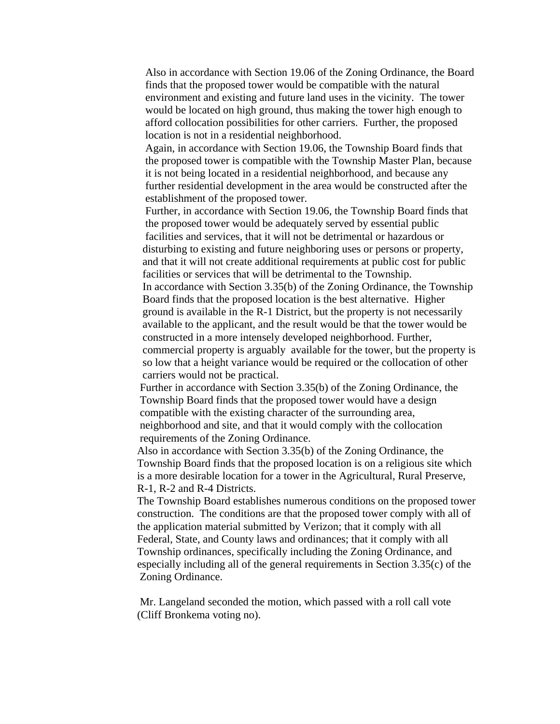Also in accordance with Section 19.06 of the Zoning Ordinance, the Board finds that the proposed tower would be compatible with the natural environment and existing and future land uses in the vicinity. The tower would be located on high ground, thus making the tower high enough to afford collocation possibilities for other carriers. Further, the proposed location is not in a residential neighborhood.

 Again, in accordance with Section 19.06, the Township Board finds that the proposed tower is compatible with the Township Master Plan, because it is not being located in a residential neighborhood, and because any further residential development in the area would be constructed after the establishment of the proposed tower.

 Further, in accordance with Section 19.06, the Township Board finds that the proposed tower would be adequately served by essential public facilities and services, that it will not be detrimental or hazardous or disturbing to existing and future neighboring uses or persons or property, and that it will not create additional requirements at public cost for public facilities or services that will be detrimental to the Township.

 In accordance with Section 3.35(b) of the Zoning Ordinance, the Township Board finds that the proposed location is the best alternative. Higher ground is available in the R-1 District, but the property is not necessarily available to the applicant, and the result would be that the tower would be constructed in a more intensely developed neighborhood. Further, commercial property is arguably available for the tower, but the property is so low that a height variance would be required or the collocation of other carriers would not be practical.

 Further in accordance with Section 3.35(b) of the Zoning Ordinance, the Township Board finds that the proposed tower would have a design compatible with the existing character of the surrounding area, neighborhood and site, and that it would comply with the collocation requirements of the Zoning Ordinance.

 Also in accordance with Section 3.35(b) of the Zoning Ordinance, the Township Board finds that the proposed location is on a religious site which is a more desirable location for a tower in the Agricultural, Rural Preserve, R-1, R-2 and R-4 Districts.

 The Township Board establishes numerous conditions on the proposed tower construction. The conditions are that the proposed tower comply with all of the application material submitted by Verizon; that it comply with all Federal, State, and County laws and ordinances; that it comply with all Township ordinances, specifically including the Zoning Ordinance, and especially including all of the general requirements in Section 3.35(c) of the Zoning Ordinance.

 Mr. Langeland seconded the motion, which passed with a roll call vote (Cliff Bronkema voting no).